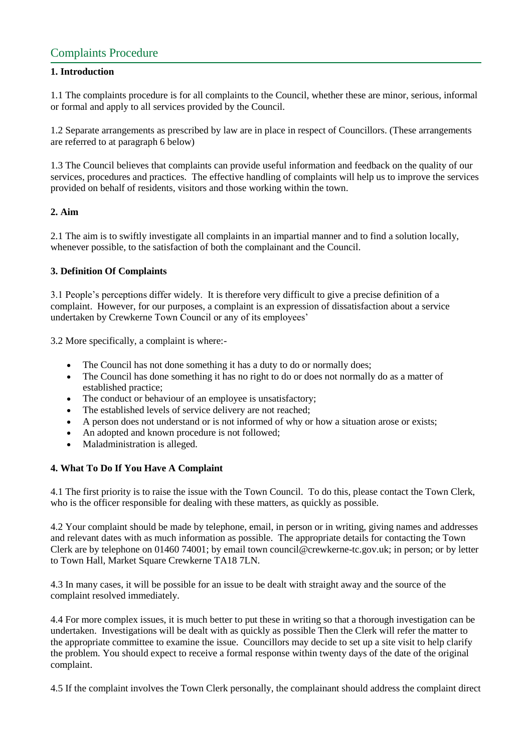# Complaints Procedure

# **1. Introduction**

1.1 The complaints procedure is for all complaints to the Council, whether these are minor, serious, informal or formal and apply to all services provided by the Council.

1.2 Separate arrangements as prescribed by law are in place in respect of Councillors. (These arrangements are referred to at paragraph 6 below)

1.3 The Council believes that complaints can provide useful information and feedback on the quality of our services, procedures and practices. The effective handling of complaints will help us to improve the services provided on behalf of residents, visitors and those working within the town.

# **2. Aim**

2.1 The aim is to swiftly investigate all complaints in an impartial manner and to find a solution locally, whenever possible, to the satisfaction of both the complainant and the Council.

#### **3. Definition Of Complaints**

3.1 People's perceptions differ widely. It is therefore very difficult to give a precise definition of a complaint. However, for our purposes, a complaint is an expression of dissatisfaction about a service undertaken by Crewkerne Town Council or any of its employees'

3.2 More specifically, a complaint is where:-

- The Council has not done something it has a duty to do or normally does;
- The Council has done something it has no right to do or does not normally do as a matter of established practice;
- The conduct or behaviour of an employee is unsatisfactory;
- The established levels of service delivery are not reached;
- A person does not understand or is not informed of why or how a situation arose or exists;
- An adopted and known procedure is not followed;
- Maladministration is alleged.

# **4. What To Do If You Have A Complaint**

4.1 The first priority is to raise the issue with the Town Council. To do this, please contact the Town Clerk, who is the officer responsible for dealing with these matters, as quickly as possible.

4.2 Your complaint should be made by telephone, email, in person or in writing, giving names and addresses and relevant dates with as much information as possible. The appropriate details for contacting the Town Clerk are by telephone on 01460 74001; by email town council@crewkerne-tc.gov.uk; in person; or by letter to Town Hall, Market Square Crewkerne TA18 7LN.

4.3 In many cases, it will be possible for an issue to be dealt with straight away and the source of the complaint resolved immediately.

4.4 For more complex issues, it is much better to put these in writing so that a thorough investigation can be undertaken. Investigations will be dealt with as quickly as possible Then the Clerk will refer the matter to the appropriate committee to examine the issue. Councillors may decide to set up a site visit to help clarify the problem. You should expect to receive a formal response within twenty days of the date of the original complaint.

4.5 If the complaint involves the Town Clerk personally, the complainant should address the complaint direct